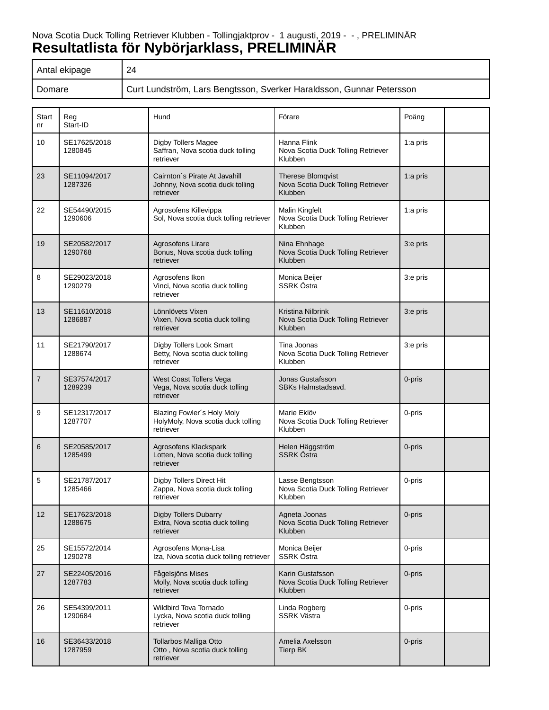# Nova Scotia Duck Tolling Retriever Klubben - Tollingjaktprov - 1 augusti, 2019 - - , PRELIMINÄR **Resultatlista för Nybörjarklass, PRELIMINÄR**

| Antal ekipage | 24                                                                   |
|---------------|----------------------------------------------------------------------|
| Domare        | Gurt Lundström, Lars Bengtsson, Sverker Haraldsson, Gunnar Petersson |

| Start<br>nr    | Reg<br>Start-ID         | Hund                                                                           | Förare                                                                    | Poäng    |  |
|----------------|-------------------------|--------------------------------------------------------------------------------|---------------------------------------------------------------------------|----------|--|
| 10             | SE17625/2018<br>1280845 | Digby Tollers Magee<br>Saffran, Nova scotia duck tolling<br>retriever          | Hanna Flink<br>Nova Scotia Duck Tolling Retriever<br>Klubben              | 1:a pris |  |
| 23             | SE11094/2017<br>1287326 | Cairnton's Pirate At Javahill<br>Johnny, Nova scotia duck tolling<br>retriever | <b>Therese Blomqvist</b><br>Nova Scotia Duck Tolling Retriever<br>Klubben | 1:a pris |  |
| 22             | SE54490/2015<br>1290606 | Agrosofens Killevippa<br>Sol, Nova scotia duck tolling retriever               | Malin Kingfelt<br>Nova Scotia Duck Tolling Retriever<br>Klubben           | 1:a pris |  |
| 19             | SE20582/2017<br>1290768 | Agrosofens Lirare<br>Bonus, Nova scotia duck tolling<br>retriever              | Nina Ehnhage<br>Nova Scotia Duck Tolling Retriever<br>Klubben             | 3:e pris |  |
| 8              | SE29023/2018<br>1290279 | Agrosofens Ikon<br>Vinci, Nova scotia duck tolling<br>retriever                | Monica Beijer<br><b>SSRK Östra</b>                                        | 3:e pris |  |
| 13             | SE11610/2018<br>1286887 | Lönnlövets Vixen<br>Vixen, Nova scotia duck tolling<br>retriever               | Kristina Nilbrink<br>Nova Scotia Duck Tolling Retriever<br>Klubben        | 3:e pris |  |
| 11             | SE21790/2017<br>1288674 | Digby Tollers Look Smart<br>Betty, Nova scotia duck tolling<br>retriever       | Tina Joonas<br>Nova Scotia Duck Tolling Retriever<br>Klubben              | 3:e pris |  |
| $\overline{7}$ | SE37574/2017<br>1289239 | West Coast Tollers Vega<br>Vega, Nova scotia duck tolling<br>retriever         | Jonas Gustafsson<br>SBKs Halmstadsavd.                                    | 0-pris   |  |
| 9              | SE12317/2017<br>1287707 | Blazing Fowler's Holy Moly<br>HolyMoly, Nova scotia duck tolling<br>retriever  | Marie Eklöv<br>Nova Scotia Duck Tolling Retriever<br>Klubben              | 0-pris   |  |
| 6              | SE20585/2017<br>1285499 | Agrosofens Klackspark<br>Lotten, Nova scotia duck tolling<br>retriever         | Helen Häggström<br>SSRK Östra                                             | 0-pris   |  |
| 5              | SE21787/2017<br>1285466 | Digby Tollers Direct Hit<br>Zappa, Nova scotia duck tolling<br>retriever       | Lasse Bengtsson<br>Nova Scotia Duck Tolling Retriever<br>Klubben          | 0-pris   |  |
| 12             | SE17623/2018<br>1288675 | Digby Tollers Dubarry<br>Extra, Nova scotia duck tolling<br>retriever          | Agneta Joonas<br>Nova Scotia Duck Tolling Retriever<br>Klubben            | 0-pris   |  |
| 25             | SE15572/2014<br>1290278 | Agrosofens Mona-Lisa<br>Iza, Nova scotia duck tolling retriever                | Monica Beijer<br>SSRK Östra                                               | 0-pris   |  |
| 27             | SE22405/2016<br>1287783 | Fågelsjöns Mises<br>Molly, Nova scotia duck tolling<br>retriever               | Karin Gustafsson<br>Nova Scotia Duck Tolling Retriever<br>Klubben         | 0-pris   |  |
| 26             | SE54399/2011<br>1290684 | Wildbird Tova Tornado<br>Lycka, Nova scotia duck tolling<br>retriever          | Linda Rogberg<br><b>SSRK Västra</b>                                       | 0-pris   |  |
| 16             | SE36433/2018<br>1287959 | Tollarbos Malliga Otto<br>Otto, Nova scotia duck tolling<br>retriever          | Amelia Axelsson<br><b>Tierp BK</b>                                        | 0-pris   |  |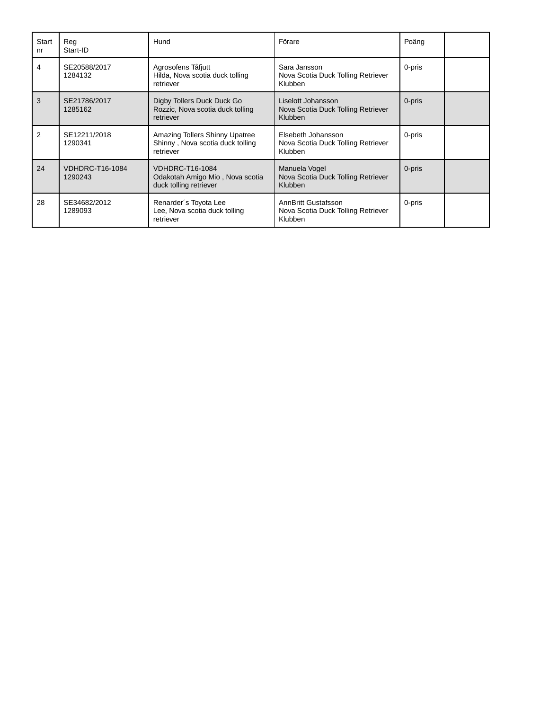| Start<br>nr | Reg<br>Start-ID                   | Hund                                                                                | Förare                                                                      | Poäng  |  |
|-------------|-----------------------------------|-------------------------------------------------------------------------------------|-----------------------------------------------------------------------------|--------|--|
| 4           | SE20588/2017<br>1284132           | Agrosofens Tåfjutt<br>Hilda, Nova scotia duck tolling<br>retriever                  | Sara Jansson<br>Nova Scotia Duck Tolling Retriever<br>Klubben               | 0-pris |  |
| 3           | SE21786/2017<br>1285162           | Digby Tollers Duck Duck Go<br>Rozzic, Nova scotia duck tolling<br>retriever         | Liselott Johansson<br>Nova Scotia Duck Tolling Retriever<br><b>Klubben</b>  | 0-pris |  |
| 2           | SE12211/2018<br>1290341           | Amazing Tollers Shinny Upatree<br>Shinny, Nova scotia duck tolling<br>retriever     | Elsebeth Johansson<br>Nova Scotia Duck Tolling Retriever<br><b>Klubben</b>  | 0-pris |  |
| 24          | <b>VDHDRC-T16-1084</b><br>1290243 | <b>VDHDRC-T16-1084</b><br>Odakotah Amigo Mio, Nova scotia<br>duck tolling retriever | Manuela Vogel<br>Nova Scotia Duck Tolling Retriever<br><b>Klubben</b>       | 0-pris |  |
| 28          | SE34682/2012<br>1289093           | Renarder's Toyota Lee<br>Lee, Nova scotia duck tolling<br>retriever                 | <b>AnnBritt Gustafsson</b><br>Nova Scotia Duck Tolling Retriever<br>Klubben | 0-pris |  |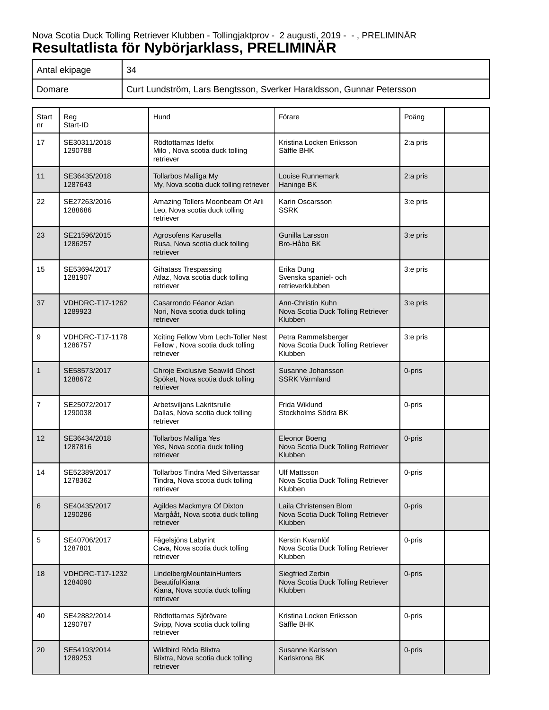# Nova Scotia Duck Tolling Retriever Klubben - Tollingjaktprov - 2 augusti, 2019 - - , PRELIMINÄR **Resultatlista för Nybörjarklass, PRELIMINÄR**

| Antal ekipage | 34                                                                   |
|---------------|----------------------------------------------------------------------|
| Domare        | Curt Lundström, Lars Bengtsson, Sverker Haraldsson, Gunnar Petersson |

| Start<br>nr  | Reg<br>Start-ID                   | Hund                                                                                        | Förare                                                                  | Poäng    |
|--------------|-----------------------------------|---------------------------------------------------------------------------------------------|-------------------------------------------------------------------------|----------|
| 17           | SE30311/2018<br>1290788           | Rödtottarnas Idefix<br>Milo, Nova scotia duck tolling<br>retriever                          | Kristina Locken Eriksson<br>Säffle BHK                                  | 2:a pris |
| 11           | SE36435/2018<br>1287643           | Tollarbos Malliga My<br>My, Nova scotia duck tolling retriever                              | Louise Runnemark<br>Haninge BK                                          | 2:a pris |
| 22           | SE27263/2016<br>1288686           | Amazing Tollers Moonbeam Of Arli<br>Leo, Nova scotia duck tolling<br>retriever              | Karin Oscarsson<br>SSRK                                                 | 3:e pris |
| 23           | SE21596/2015<br>1286257           | Agrosofens Karusella<br>Rusa, Nova scotia duck tolling<br>retriever                         | Gunilla Larsson<br>Bro-Håbo BK                                          | 3:e pris |
| 15           | SE53694/2017<br>1281907           | Gihatass Trespassing<br>Atlaz, Nova scotia duck tolling<br>retriever                        | Erika Dung<br>Svenska spaniel- och<br>retrieverklubben                  | 3:e pris |
| 37           | <b>VDHDRC-T17-1262</b><br>1289923 | Casarrondo Féanor Adan<br>Nori, Nova scotia duck tolling<br>retriever                       | Ann-Christin Kuhn<br>Nova Scotia Duck Tolling Retriever<br>Klubben      | 3:e pris |
| 9            | <b>VDHDRC-T17-1178</b><br>1286757 | Xciting Fellow Vom Lech-Toller Nest<br>Fellow, Nova scotia duck tolling<br>retriever        | Petra Rammelsberger<br>Nova Scotia Duck Tolling Retriever<br>Klubben    | 3:e pris |
| $\mathbf{1}$ | SE58573/2017<br>1288672           | Chroje Exclusive Seawild Ghost<br>Spöket, Nova scotia duck tolling<br>retriever             | Susanne Johansson<br><b>SSRK Värmland</b>                               | 0-pris   |
| 7            | SE25072/2017<br>1290038           | Arbetsviljans Lakritsrulle<br>Dallas, Nova scotia duck tolling<br>retriever                 | Frida Wiklund<br>Stockholms Södra BK                                    | 0-pris   |
| 12           | SE36434/2018<br>1287816           | <b>Tollarbos Malliga Yes</b><br>Yes, Nova scotia duck tolling<br>retriever                  | <b>Eleonor Boeng</b><br>Nova Scotia Duck Tolling Retriever<br>Klubben   | 0-pris   |
| 14           | SE52389/2017<br>1278362           | Tollarbos Tindra Med Silvertassar<br>Tindra, Nova scotia duck tolling<br>retriever          | Ulf Mattsson<br>Nova Scotia Duck Tolling Retriever<br>Klubben           | 0-pris   |
| 6            | SE40435/2017<br>1290286           | Agildes Mackmyra Of Dixton<br>Margååt, Nova scotia duck tolling<br>retriever                | Laila Christensen Blom<br>Nova Scotia Duck Tolling Retriever<br>Klubben | 0-pris   |
| $\sqrt{5}$   | SE40706/2017<br>1287801           | Fågelsjöns Labyrint<br>Cava, Nova scotia duck tolling<br>retriever                          | Kerstin Kvarnlöf<br>Nova Scotia Duck Tolling Retriever<br>Klubben       | 0-pris   |
| 18           | <b>VDHDRC-T17-1232</b><br>1284090 | LindelbergMountainHunters<br>BeautifulKiana<br>Kiana, Nova scotia duck tolling<br>retriever | Siegfried Zerbin<br>Nova Scotia Duck Tolling Retriever<br>Klubben       | 0-pris   |
| 40           | SE42882/2014<br>1290787           | Rödtottarnas Sjörövare<br>Svipp, Nova scotia duck tolling<br>retriever                      | Kristina Locken Eriksson<br>Säffle BHK                                  | 0-pris   |
| 20           | SE54193/2014<br>1289253           | Wildbird Röda Blixtra<br>Blixtra, Nova scotia duck tolling<br>retriever                     | Susanne Karlsson<br>Karlskrona BK                                       | 0-pris   |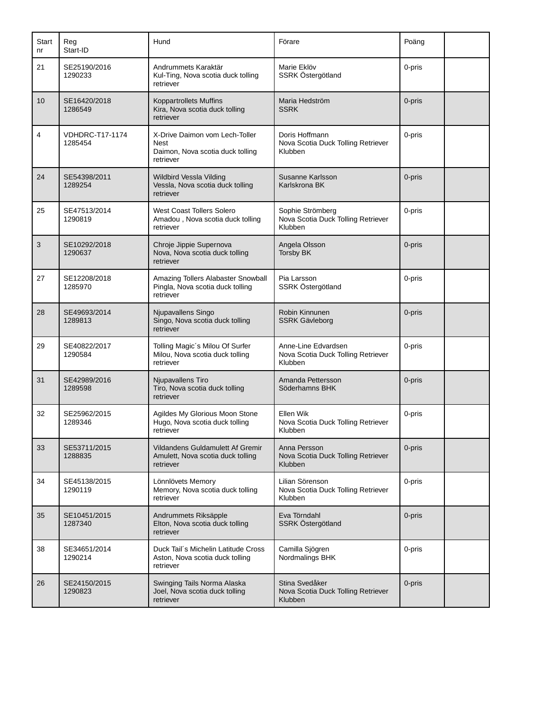| Start<br>nr | Reg<br>Start-ID                   | Hund                                                                                           | Förare                                                               | Poäng  |  |
|-------------|-----------------------------------|------------------------------------------------------------------------------------------------|----------------------------------------------------------------------|--------|--|
| 21          | SE25190/2016<br>1290233           | Andrummets Karaktär<br>Kul-Ting, Nova scotia duck tolling<br>retriever                         | Marie Eklöv<br>SSRK Östergötland                                     | 0-pris |  |
| 10          | SE16420/2018<br>1286549           | Koppartrollets Muffins<br>Kira, Nova scotia duck tolling<br>retriever                          | Maria Hedström<br><b>SSRK</b>                                        | 0-pris |  |
| 4           | <b>VDHDRC-T17-1174</b><br>1285454 | X-Drive Daimon vom Lech-Toller<br><b>Nest</b><br>Daimon, Nova scotia duck tolling<br>retriever | Doris Hoffmann<br>Nova Scotia Duck Tolling Retriever<br>Klubben      | 0-pris |  |
| 24          | SE54398/2011<br>1289254           | Wildbird Vessla Vilding<br>Vessla, Nova scotia duck tolling<br>retriever                       | Susanne Karlsson<br>Karlskrona BK                                    | 0-pris |  |
| 25          | SE47513/2014<br>1290819           | <b>West Coast Tollers Solero</b><br>Amadou, Nova scotia duck tolling<br>retriever              | Sophie Strömberg<br>Nova Scotia Duck Tolling Retriever<br>Klubben    | 0-pris |  |
| 3           | SE10292/2018<br>1290637           | Chroje Jippie Supernova<br>Nova, Nova scotia duck tolling<br>retriever                         | Angela Olsson<br><b>Torsby BK</b>                                    | 0-pris |  |
| 27          | SE12208/2018<br>1285970           | Amazing Tollers Alabaster Snowball<br>Pingla, Nova scotia duck tolling<br>retriever            | Pia Larsson<br>SSRK Östergötland                                     | 0-pris |  |
| 28          | SE49693/2014<br>1289813           | Njupavallens Singo<br>Singo, Nova scotia duck tolling<br>retriever                             | Robin Kinnunen<br><b>SSRK Gävleborg</b>                              | 0-pris |  |
| 29          | SE40822/2017<br>1290584           | Tolling Magic's Milou Of Surfer<br>Milou, Nova scotia duck tolling<br>retriever                | Anne-Line Edvardsen<br>Nova Scotia Duck Tolling Retriever<br>Klubben | 0-pris |  |
| 31          | SE42989/2016<br>1289598           | Njupavallens Tiro<br>Tiro, Nova scotia duck tolling<br>retriever                               | Amanda Pettersson<br>Söderhamns BHK                                  | 0-pris |  |
| 32          | SE25962/2015<br>1289346           | Agildes My Glorious Moon Stone<br>Hugo, Nova scotia duck tolling<br>retriever                  | Ellen Wik<br>Nova Scotia Duck Tolling Retriever<br>Klubben           | 0-pris |  |
| 33          | SE53711/2015<br>1288835           | Vildandens Guldamulett Af Gremir<br>Amulett, Nova scotia duck tolling<br>retriever             | Anna Persson<br>Nova Scotia Duck Tolling Retriever<br>Klubben        | 0-pris |  |
| 34          | SE45138/2015<br>1290119           | Lönnlövets Memory<br>Memory, Nova scotia duck tolling<br>retriever                             | Lilian Sörenson<br>Nova Scotia Duck Tolling Retriever<br>Klubben     | 0-pris |  |
| 35          | SE10451/2015<br>1287340           | Andrummets Riksäpple<br>Elton, Nova scotia duck tolling<br>retriever                           | Eva Törndahl<br>SSRK Östergötland                                    | 0-pris |  |
| 38          | SE34651/2014<br>1290214           | Duck Tail's Michelin Latitude Cross<br>Aston, Nova scotia duck tolling<br>retriever            | Camilla Sjögren<br>Nordmalings BHK                                   | 0-pris |  |
| 26          | SE24150/2015<br>1290823           | Swinging Tails Norma Alaska<br>Joel, Nova scotia duck tolling<br>retriever                     | Stina Svedåker<br>Nova Scotia Duck Tolling Retriever<br>Klubben      | 0-pris |  |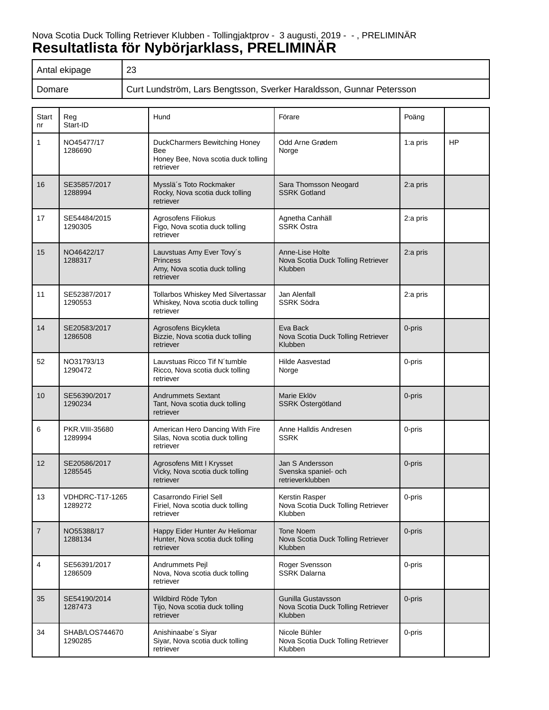# Nova Scotia Duck Tolling Retriever Klubben - Tollingjaktprov - 3 augusti, 2019 - - , PRELIMINÄR **Resultatlista för Nybörjarklass, PRELIMINÄR**

| Antal ekipage | 23                                                                   |
|---------------|----------------------------------------------------------------------|
| Domare        | Curt Lundström, Lars Bengtsson, Sverker Haraldsson, Gunnar Petersson |

| Start<br>nr    | Reg<br>Start-ID                   | Hund                                                                                       | Förare                                                              | Poäng    |    |
|----------------|-----------------------------------|--------------------------------------------------------------------------------------------|---------------------------------------------------------------------|----------|----|
| 1              | NO45477/17<br>1286690             | DuckCharmers Bewitching Honey<br>Bee<br>Honey Bee, Nova scotia duck tolling<br>retriever   | Odd Arne Grødem<br>Norge                                            | 1:a pris | HP |
| 16             | SE35857/2017<br>1288994           | Mysslä's Toto Rockmaker<br>Rocky, Nova scotia duck tolling<br>retriever                    | Sara Thomsson Neogard<br><b>SSRK Gotland</b>                        | 2:a pris |    |
| 17             | SE54484/2015<br>1290305           | Agrosofens Filiokus<br>Figo, Nova scotia duck tolling<br>retriever                         | Agnetha Canhäll<br>SSRK Östra                                       | 2:a pris |    |
| 15             | NO46422/17<br>1288317             | Lauvstuas Amy Ever Tovy's<br><b>Princess</b><br>Amy, Nova scotia duck tolling<br>retriever | Anne-Lise Holte<br>Nova Scotia Duck Tolling Retriever<br>Klubben    | 2:a pris |    |
| 11             | SE52387/2017<br>1290553           | Tollarbos Whiskey Med Silvertassar<br>Whiskey, Nova scotia duck tolling<br>retriever       | Jan Alenfall<br><b>SSRK Södra</b>                                   | 2:a pris |    |
| 14             | SE20583/2017<br>1286508           | Agrosofens Bicykleta<br>Bizzie, Nova scotia duck tolling<br>retriever                      | Eva Back<br>Nova Scotia Duck Tolling Retriever<br>Klubben           | 0-pris   |    |
| 52             | NO31793/13<br>1290472             | Lauvstuas Ricco Tif N'tumble<br>Ricco, Nova scotia duck tolling<br>retriever               | <b>Hilde Aasvestad</b><br>Norge                                     | 0-pris   |    |
| 10             | SE56390/2017<br>1290234           | <b>Andrummets Sextant</b><br>Tant, Nova scotia duck tolling<br>retriever                   | Marie Eklöv<br>SSRK Östergötland                                    | 0-pris   |    |
| 6              | PKR.VIII-35680<br>1289994         | American Hero Dancing With Fire<br>Silas, Nova scotia duck tolling<br>retriever            | Anne Halldis Andresen<br>SSRK                                       | 0-pris   |    |
| 12             | SE20586/2017<br>1285545           | Agrosofens Mitt I Krysset<br>Vicky, Nova scotia duck tolling<br>retriever                  | Jan S Andersson<br>Svenska spaniel- och<br>retrieverklubben         | 0-pris   |    |
| 13             | <b>VDHDRC-T17-1265</b><br>1289272 | Casarrondo Firiel Sell<br>Firiel, Nova scotia duck tolling<br>retriever                    | Kerstin Rasper<br>Nova Scotia Duck Tolling Retriever<br>Klubben     | 0-pris   |    |
| $\overline{7}$ | NO55388/17<br>1288134             | Happy Eider Hunter Av Heliomar<br>Hunter, Nova scotia duck tolling<br>retriever            | <b>Tone Noem</b><br>Nova Scotia Duck Tolling Retriever<br>Klubben   | 0-pris   |    |
| 4              | SE56391/2017<br>1286509           | Andrummets Pejl<br>Nova, Nova scotia duck tolling<br>retriever                             | Roger Svensson<br><b>SSRK Dalarna</b>                               | 0-pris   |    |
| 35             | SE54190/2014<br>1287473           | Wildbird Röde Tyfon<br>Tijo, Nova scotia duck tolling<br>retriever                         | Gunilla Gustavsson<br>Nova Scotia Duck Tolling Retriever<br>Klubben | 0-pris   |    |
| 34             | SHAB/LOS744670<br>1290285         | Anishinaabe's Siyar<br>Siyar, Nova scotia duck tolling<br>retriever                        | Nicole Bühler<br>Nova Scotia Duck Tolling Retriever<br>Klubben      | 0-pris   |    |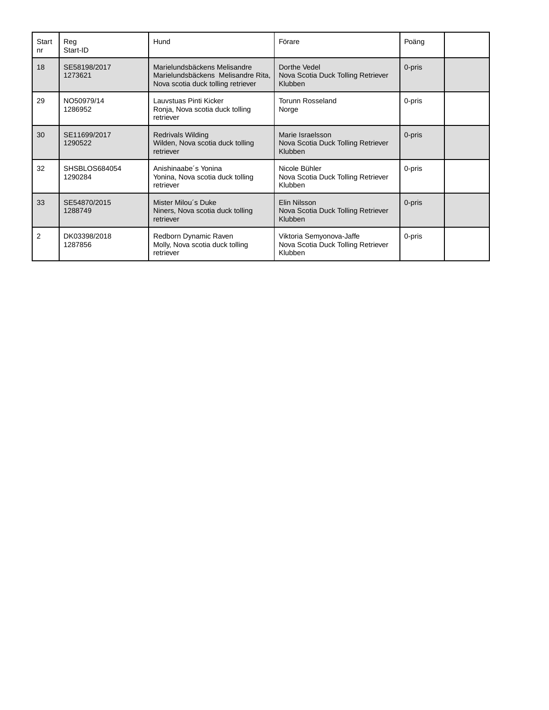| Start<br>nr | Reg<br>Start-ID          | Hund                                                                                                     | Förare                                                                    | Poäng  |  |
|-------------|--------------------------|----------------------------------------------------------------------------------------------------------|---------------------------------------------------------------------------|--------|--|
| 18          | SE58198/2017<br>1273621  | Marielundsbäckens Melisandre<br>Marielundsbäckens Melisandre Rita,<br>Nova scotia duck tolling retriever | Dorthe Vedel<br>Nova Scotia Duck Tolling Retriever<br>Klubben             | 0-pris |  |
| 29          | NO50979/14<br>1286952    | Lauvstuas Pinti Kicker<br>Ronja, Nova scotia duck tolling<br>retriever                                   | <b>Torunn Rosseland</b><br>Norge                                          | 0-pris |  |
| 30          | SE11699/2017<br>1290522  | <b>Redrivals Wilding</b><br>Wilden, Nova scotia duck tolling<br>retriever                                | Marie Israelsson<br>Nova Scotia Duck Tolling Retriever<br>Klubben         | 0-pris |  |
| 32          | SHSBLOS684054<br>1290284 | Anishinaabe's Yonina<br>Yonina, Nova scotia duck tolling<br>retriever                                    | Nicole Bühler<br>Nova Scotia Duck Tolling Retriever<br>Klubben            | 0-pris |  |
| 33          | SE54870/2015<br>1288749  | Mister Milou's Duke<br>Niners, Nova scotia duck tolling<br>retriever                                     | Elin Nilsson<br>Nova Scotia Duck Tolling Retriever<br>Klubben             | 0-pris |  |
| 2           | DK03398/2018<br>1287856  | Redborn Dynamic Raven<br>Molly, Nova scotia duck tolling<br>retriever                                    | Viktoria Semyonova-Jaffe<br>Nova Scotia Duck Tolling Retriever<br>Klubben | 0-pris |  |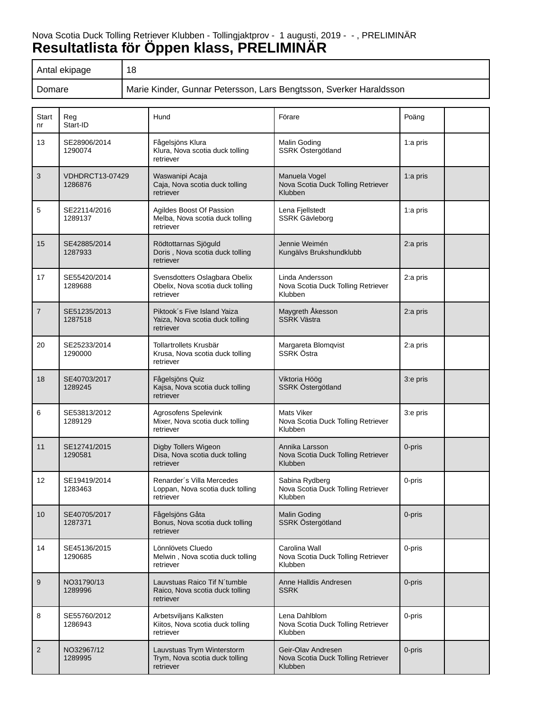# Nova Scotia Duck Tolling Retriever Klubben - Tollingjaktprov - 1 augusti, 2019 - - , PRELIMINÄR **Resultatlista för Öppen klass, PRELIMINÄR**

| Antal ekipage | 18                                                                 |
|---------------|--------------------------------------------------------------------|
| Domare        | Marie Kinder, Gunnar Petersson, Lars Bengtsson, Sverker Haraldsson |

| Start<br>nr    | Reg<br>Start-ID            | Hund                                                                           | Förare                                                              | Poäng    |
|----------------|----------------------------|--------------------------------------------------------------------------------|---------------------------------------------------------------------|----------|
| 13             | SE28906/2014<br>1290074    | Fågelsjöns Klura<br>Klura, Nova scotia duck tolling<br>retriever               | Malin Goding<br>SSRK Östergötland                                   | 1:a pris |
| 3              | VDHDRCT13-07429<br>1286876 | Waswanipi Acaja<br>Caja, Nova scotia duck tolling<br>retriever                 | Manuela Vogel<br>Nova Scotia Duck Tolling Retriever<br>Klubben      | 1:a pris |
| 5              | SE22114/2016<br>1289137    | Agildes Boost Of Passion<br>Melba, Nova scotia duck tolling<br>retriever       | Lena Fiellstedt<br>SSRK Gävleborg                                   | 1:a pris |
| 15             | SE42885/2014<br>1287933    | Rödtottarnas Sjöguld<br>Doris, Nova scotia duck tolling<br>retriever           | Jennie Weimén<br>Kungälvs Brukshundklubb                            | 2:a pris |
| 17             | SE55420/2014<br>1289688    | Svensdotters Oslagbara Obelix<br>Obelix, Nova scotia duck tolling<br>retriever | Linda Andersson<br>Nova Scotia Duck Tolling Retriever<br>Klubben    | 2:a pris |
| $\overline{7}$ | SE51235/2013<br>1287518    | Piktook's Five Island Yaiza<br>Yaiza, Nova scotia duck tolling<br>retriever    | Maygreth Åkesson<br><b>SSRK Västra</b>                              | 2:a pris |
| 20             | SE25233/2014<br>1290000    | Tollartrollets Krusbär<br>Krusa, Nova scotia duck tolling<br>retriever         | Margareta Blomqvist<br>SSRK Östra                                   | 2:a pris |
| 18             | SE40703/2017<br>1289245    | Fågelsjöns Quiz<br>Kajsa, Nova scotia duck tolling<br>retriever                | Viktoria Höög<br>SSRK Östergötland                                  | 3:e pris |
| 6              | SE53813/2012<br>1289129    | Agrosofens Spelevink<br>Mixer, Nova scotia duck tolling<br>retriever           | <b>Mats Viker</b><br>Nova Scotia Duck Tolling Retriever<br>Klubben  | 3:e pris |
| 11             | SE12741/2015<br>1290581    | Digby Tollers Wigeon<br>Disa, Nova scotia duck tolling<br>retriever            | Annika Larsson<br>Nova Scotia Duck Tolling Retriever<br>Klubben     | 0-pris   |
| 12             | SE19419/2014<br>1283463    | Renarder's Villa Mercedes<br>Loppan, Nova scotia duck tolling<br>retriever     | Sabina Rydberg<br>Nova Scotia Duck Tolling Retriever<br>Klubben     | 0-pris   |
| 10             | SE40705/2017<br>1287371    | Fågelsjöns Gåta<br>Bonus, Nova scotia duck tolling<br>retriever                | Malin Goding<br>SSRK Östergötland                                   | 0-pris   |
| 14             | SE45136/2015<br>1290685    | Lönnlövets Cluedo<br>Melwin, Nova scotia duck tolling<br>retriever             | Carolina Wall<br>Nova Scotia Duck Tolling Retriever<br>Klubben      | 0-pris   |
| 9              | NO31790/13<br>1289996      | Lauvstuas Raico Tif N'tumble<br>Raico, Nova scotia duck tolling<br>retriever   | Anne Halldis Andresen<br><b>SSRK</b>                                | 0-pris   |
| 8              | SE55760/2012<br>1286943    | Arbetsviljans Kalksten<br>Kiitos, Nova scotia duck tolling<br>retriever        | Lena Dahlblom<br>Nova Scotia Duck Tolling Retriever<br>Klubben      | 0-pris   |
| $\overline{2}$ | NO32967/12<br>1289995      | Lauvstuas Trym Winterstorm<br>Trym, Nova scotia duck tolling<br>retriever      | Geir-Olav Andresen<br>Nova Scotia Duck Tolling Retriever<br>Klubben | 0-pris   |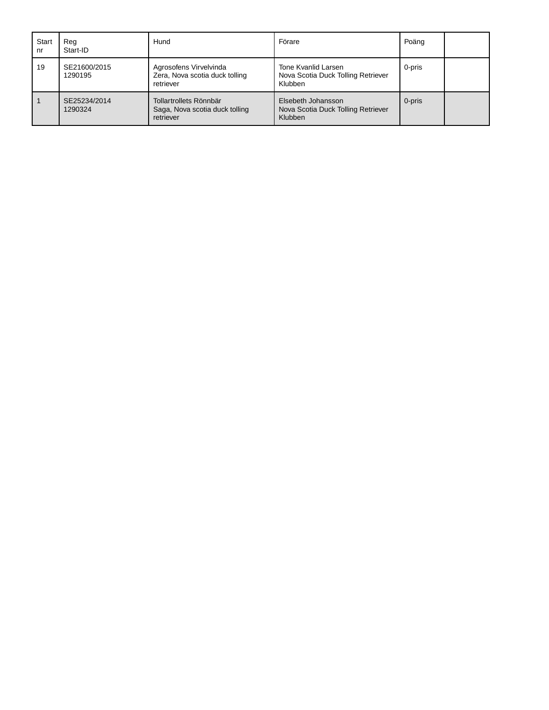| Start<br>nr | Rea<br>Start-ID         | Hund                                                                  | Förare                                                               | Poäng  |  |
|-------------|-------------------------|-----------------------------------------------------------------------|----------------------------------------------------------------------|--------|--|
| 19          | SE21600/2015<br>1290195 | Agrosofens Virvelvinda<br>Zera, Nova scotia duck tolling<br>retriever | Tone Kvanlid Larsen<br>Nova Scotia Duck Tolling Retriever<br>Klubben | 0-pris |  |
|             | SE25234/2014<br>1290324 | Tollartrollets Rönnbär<br>Saga, Nova scotia duck tolling<br>retriever | Elsebeth Johansson<br>Nova Scotia Duck Tolling Retriever<br>Klubben  | 0-pris |  |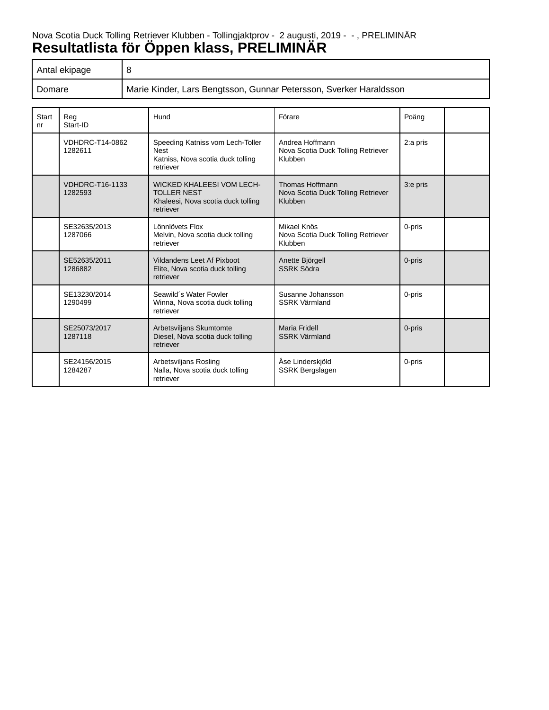# Nova Scotia Duck Tolling Retriever Klubben - Tollingjaktprov - 2 augusti, 2019 - - , PRELIMINÄR **Resultatlista för Öppen klass, PRELIMINÄR**

| Antal ekipage |                                                                    |
|---------------|--------------------------------------------------------------------|
| Domare        | Marie Kinder, Lars Bengtsson, Gunnar Petersson, Sverker Haraldsson |

| <b>Start</b><br>n <sub>r</sub> | Rea<br>Start-ID                   | Hund                                                                                                      | Förare                                                           | Poäng    |  |
|--------------------------------|-----------------------------------|-----------------------------------------------------------------------------------------------------------|------------------------------------------------------------------|----------|--|
|                                | VDHDRC-T14-0862<br>1282611        | Speeding Katniss vom Lech-Toller<br><b>Nest</b><br>Katniss, Nova scotia duck tolling<br>retriever         | Andrea Hoffmann<br>Nova Scotia Duck Tolling Retriever<br>Klubben | 2:a pris |  |
|                                | <b>VDHDRC-T16-1133</b><br>1282593 | <b>WICKED KHALEESI VOM LECH-</b><br><b>TOLLER NEST</b><br>Khaleesi, Nova scotia duck tolling<br>retriever | Thomas Hoffmann<br>Nova Scotia Duck Tolling Retriever<br>Klubben | 3:e pris |  |
|                                | SE32635/2013<br>1287066           | Lönnlövets Flox<br>Melvin, Nova scotia duck tolling<br>retriever                                          | Mikael Knös<br>Nova Scotia Duck Tolling Retriever<br>Klubben     | 0-pris   |  |
|                                | SE52635/2011<br>1286882           | Vildandens Leet Af Pixboot<br>Elite, Nova scotia duck tolling<br>retriever                                | Anette Björgell<br><b>SSRK Södra</b>                             | 0-pris   |  |
|                                | SE13230/2014<br>1290499           | Seawild's Water Fowler<br>Winna, Nova scotia duck tolling<br>retriever                                    | Susanne Johansson<br><b>SSRK Värmland</b>                        | 0-pris   |  |
|                                | SE25073/2017<br>1287118           | Arbetsviljans Skumtomte<br>Diesel, Nova scotia duck tolling<br>retriever                                  | Maria Fridell<br><b>SSRK Värmland</b>                            | 0-pris   |  |
|                                | SE24156/2015<br>1284287           | Arbetsviljans Rosling<br>Nalla, Nova scotia duck tolling<br>retriever                                     | Åse Linderskjöld<br><b>SSRK Bergslagen</b>                       | 0-pris   |  |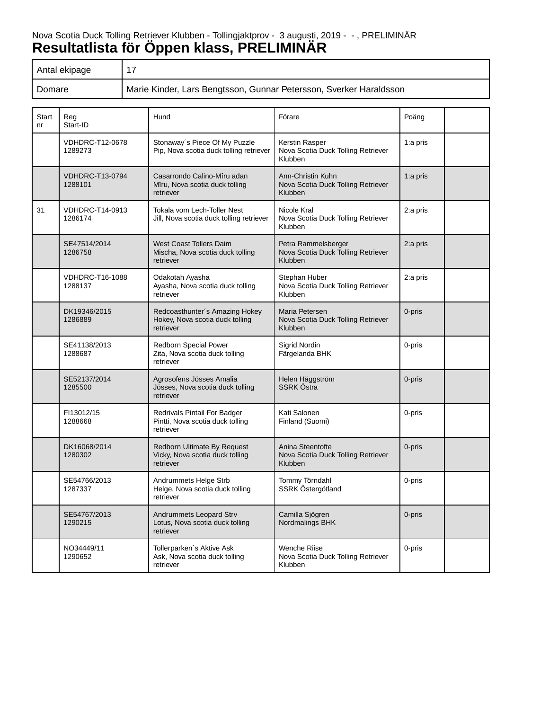# Nova Scotia Duck Tolling Retriever Klubben - Tollingjaktprov - 3 augusti, 2019 - - , PRELIMINÄR **Resultatlista för Öppen klass, PRELIMINÄR**

| Antal ekipage |                                                                    |
|---------------|--------------------------------------------------------------------|
| Domare        | Marie Kinder, Lars Bengtsson, Gunnar Petersson, Sverker Haraldsson |

| <b>Start</b><br>nr | Reg<br>Start-ID                   | Hund                                                                            | Förare                                                               | Poäng    |  |
|--------------------|-----------------------------------|---------------------------------------------------------------------------------|----------------------------------------------------------------------|----------|--|
|                    | <b>VDHDRC-T12-0678</b><br>1289273 | Stonaway's Piece Of My Puzzle<br>Pip, Nova scotia duck tolling retriever        | Kerstin Rasper<br>Nova Scotia Duck Tolling Retriever<br>Klubben      | 1:a pris |  |
|                    | <b>VDHDRC-T13-0794</b><br>1288101 | Casarrondo Calino-Mîru adan<br>Mîru, Nova scotia duck tolling<br>retriever      | Ann-Christin Kuhn<br>Nova Scotia Duck Tolling Retriever<br>Klubben   | 1:a pris |  |
| 31                 | VDHDRC-T14-0913<br>1286174        | Tokala vom Lech-Toller Nest<br>Jill, Nova scotia duck tolling retriever         | Nicole Kral<br>Nova Scotia Duck Tolling Retriever<br>Klubben         | 2:a pris |  |
|                    | SE47514/2014<br>1286758           | <b>West Coast Tollers Daim</b><br>Mischa, Nova scotia duck tolling<br>retriever | Petra Rammelsberger<br>Nova Scotia Duck Tolling Retriever<br>Klubben | 2:a pris |  |
|                    | VDHDRC-T16-1088<br>1288137        | Odakotah Ayasha<br>Ayasha, Nova scotia duck tolling<br>retriever                | Stephan Huber<br>Nova Scotia Duck Tolling Retriever<br>Klubben       | 2:a pris |  |
|                    | DK19346/2015<br>1286889           | Redcoasthunter's Amazing Hokey<br>Hokey, Nova scotia duck tolling<br>retriever  | Maria Petersen<br>Nova Scotia Duck Tolling Retriever<br>Klubben      | 0-pris   |  |
|                    | SE41138/2013<br>1288687           | Redborn Special Power<br>Zita, Nova scotia duck tolling<br>retriever            | Sigrid Nordin<br>Färgelanda BHK                                      | 0-pris   |  |
|                    | SE52137/2014<br>1285500           | Agrosofens Jösses Amalia<br>Jösses, Nova scotia duck tolling<br>retriever       | Helen Häggström<br><b>SSRK Östra</b>                                 | 0-pris   |  |
|                    | FI13012/15<br>1288668             | Redrivals Pintail For Badger<br>Pintti, Nova scotia duck tolling<br>retriever   | Kati Salonen<br>Finland (Suomi)                                      | 0-pris   |  |
|                    | DK16068/2014<br>1280302           | Redborn Ultimate By Request<br>Vicky, Nova scotia duck tolling<br>retriever     | Anina Steentofte<br>Nova Scotia Duck Tolling Retriever<br>Klubben    | 0-pris   |  |
|                    | SE54766/2013<br>1287337           | Andrummets Helge Strb<br>Helge, Nova scotia duck tolling<br>retriever           | Tommy Törndahl<br>SSRK Östergötland                                  | 0-pris   |  |
|                    | SE54767/2013<br>1290215           | Andrummets Leopard Strv<br>Lotus, Nova scotia duck tolling<br>retriever         | Camilla Sjögren<br>Nordmalings BHK                                   | 0-pris   |  |
|                    | NO34449/11<br>1290652             | Tollerparken's Aktive Ask<br>Ask, Nova scotia duck tolling<br>retriever         | <b>Wenche Riise</b><br>Nova Scotia Duck Tolling Retriever<br>Klubben | 0-pris   |  |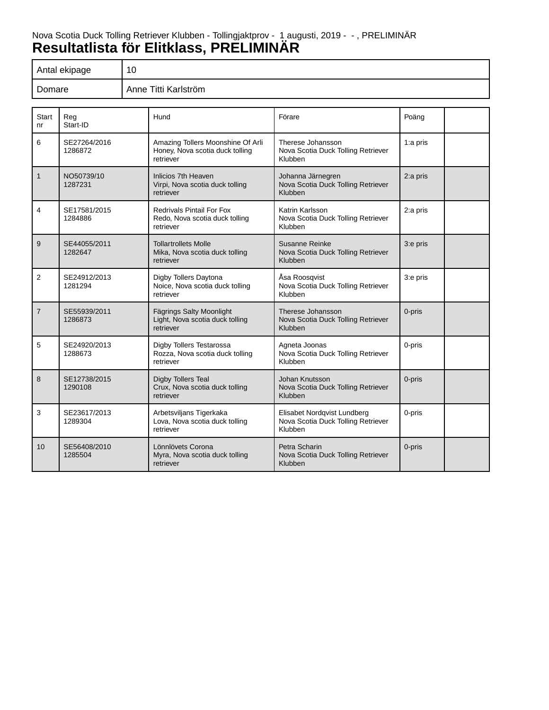# Nova Scotia Duck Tolling Retriever Klubben - Tollingjaktprov - 1 augusti, 2019 - - , PRELIMINÄR **Resultatlista för Elitklass, PRELIMINÄR**

| Antal ekipage | 10                   |
|---------------|----------------------|
| Domare        | Anne Titti Karlström |

| Start<br>nr    | Reg<br>Start-ID         | Hund                                                                              | Förare                                                                       | Poäng    |  |
|----------------|-------------------------|-----------------------------------------------------------------------------------|------------------------------------------------------------------------------|----------|--|
| 6              | SE27264/2016<br>1286872 | Amazing Tollers Moonshine Of Arli<br>Honey, Nova scotia duck tolling<br>retriever | Therese Johansson<br>Nova Scotia Duck Tolling Retriever<br>Klubben           | 1:a pris |  |
| $\mathbf{1}$   | NO50739/10<br>1287231   | Inlicios 7th Heaven<br>Virpi, Nova scotia duck tolling<br>retriever               | Johanna Järnegren<br>Nova Scotia Duck Tolling Retriever<br>Klubben           | 2:a pris |  |
| 4              | SE17581/2015<br>1284886 | <b>Redrivals Pintail For Fox</b><br>Redo, Nova scotia duck tolling<br>retriever   | Katrin Karlsson<br>Nova Scotia Duck Tolling Retriever<br>Klubben             | 2:a pris |  |
| 9              | SE44055/2011<br>1282647 | <b>Tollartrollets Molle</b><br>Mika, Nova scotia duck tolling<br>retriever        | Susanne Reinke<br>Nova Scotia Duck Tolling Retriever<br>Klubben              | 3:e pris |  |
| 2              | SE24912/2013<br>1281294 | Digby Tollers Daytona<br>Noice, Nova scotia duck tolling<br>retriever             | Åsa Roosgvist<br>Nova Scotia Duck Tolling Retriever<br>Klubben               | 3:e pris |  |
| $\overline{7}$ | SE55939/2011<br>1286873 | Fägrings Salty Moonlight<br>Light, Nova scotia duck tolling<br>retriever          | Therese Johansson<br>Nova Scotia Duck Tolling Retriever<br>Klubben           | 0-pris   |  |
| 5              | SE24920/2013<br>1288673 | Digby Tollers Testarossa<br>Rozza, Nova scotia duck tolling<br>retriever          | Agneta Joonas<br>Nova Scotia Duck Tolling Retriever<br>Klubben               | 0-pris   |  |
| 8              | SE12738/2015<br>1290108 | Digby Tollers Teal<br>Crux, Nova scotia duck tolling<br>retriever                 | Johan Knutsson<br>Nova Scotia Duck Tolling Retriever<br>Klubben              | 0-pris   |  |
| 3              | SE23617/2013<br>1289304 | Arbetsviljans Tigerkaka<br>Lova, Nova scotia duck tolling<br>retriever            | Elisabet Nordqvist Lundberg<br>Nova Scotia Duck Tolling Retriever<br>Klubben | 0-pris   |  |
| 10             | SE56408/2010<br>1285504 | Lönnlövets Corona<br>Myra, Nova scotia duck tolling<br>retriever                  | Petra Scharin<br>Nova Scotia Duck Tolling Retriever<br>Klubben               | 0-pris   |  |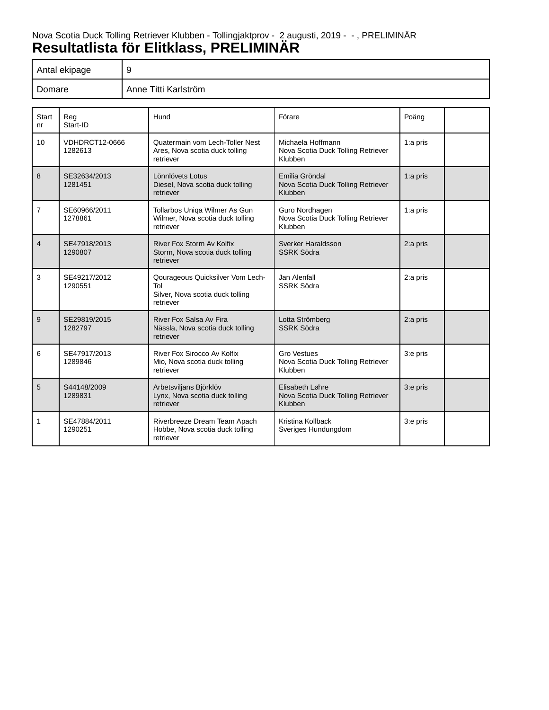# Nova Scotia Duck Tolling Retriever Klubben - Tollingjaktprov - 2 augusti, 2019 - - , PRELIMINÄR **Resultatlista för Elitklass, PRELIMINÄR**

| Antal ekipage |                      |
|---------------|----------------------|
| Domare        | Anne Titti Karlström |

| Start<br>nr    | Reg<br>Start-ID                  | Hund                                                                                     | Förare                                                              | Poäng      |  |
|----------------|----------------------------------|------------------------------------------------------------------------------------------|---------------------------------------------------------------------|------------|--|
| 10             | <b>VDHDRCT12-0666</b><br>1282613 | Quatermain vom Lech-Toller Nest<br>Ares, Nova scotia duck tolling<br>retriever           | Michaela Hoffmann<br>Nova Scotia Duck Tolling Retriever<br>Klubben  | $1:a$ pris |  |
| 8              | SE32634/2013<br>1281451          | Lönnlövets Lotus<br>Diesel, Nova scotia duck tolling<br>retriever                        | Emilia Gröndal<br>Nova Scotia Duck Tolling Retriever<br>Klubben     | 1:a pris   |  |
| $\overline{7}$ | SE60966/2011<br>1278861          | Tollarbos Uniqa Wilmer As Gun<br>Wilmer, Nova scotia duck tolling<br>retriever           | Guro Nordhagen<br>Nova Scotia Duck Tolling Retriever<br>Klubben     | 1:a pris   |  |
| $\overline{4}$ | SE47918/2013<br>1290807          | River Fox Storm Av Kolfix<br>Storm, Nova scotia duck tolling<br>retriever                | Sverker Haraldsson<br><b>SSRK Södra</b>                             | 2:a pris   |  |
| 3              | SE49217/2012<br>1290551          | Qourageous Quicksilver Vom Lech-<br>Tol<br>Silver, Nova scotia duck tolling<br>retriever | Jan Alenfall<br><b>SSRK Södra</b>                                   | 2:a pris   |  |
| 9              | SE29819/2015<br>1282797          | River Fox Salsa Av Fira<br>Nässla, Nova scotia duck tolling<br>retriever                 | Lotta Strömberg<br><b>SSRK Södra</b>                                | 2:a pris   |  |
| 6              | SE47917/2013<br>1289846          | River Fox Sirocco Av Kolfix<br>Mio, Nova scotia duck tolling<br>retriever                | <b>Gro Vestues</b><br>Nova Scotia Duck Tolling Retriever<br>Klubben | 3:e pris   |  |
| 5              | S44148/2009<br>1289831           | Arbetsviljans Björklöv<br>Lynx, Nova scotia duck tolling<br>retriever                    | Elisabeth Løhre<br>Nova Scotia Duck Tolling Retriever<br>Klubben    | 3:e pris   |  |
| 1              | SE47884/2011<br>1290251          | Riverbreeze Dream Team Apach<br>Hobbe, Nova scotia duck tolling<br>retriever             | Kristina Kollback<br>Sveriges Hundungdom                            | 3:e pris   |  |